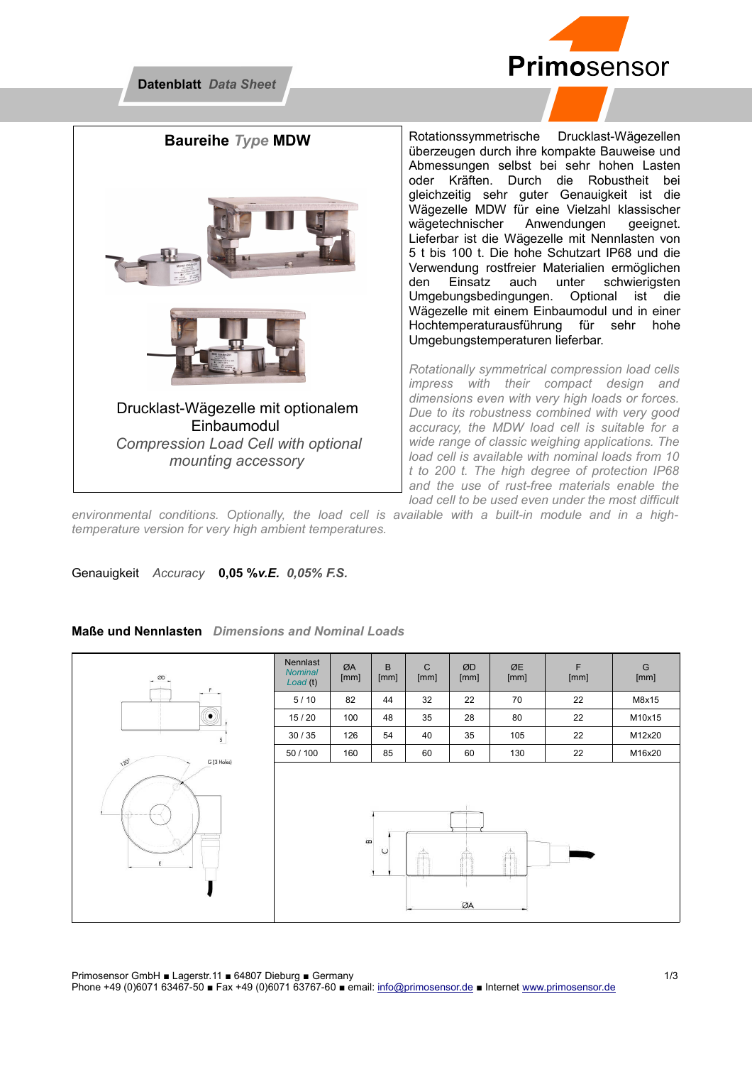



Rotationssymmetrische Drucklast-Wägezellen überzeugen durch ihre kompakte Bauweise und Abmessungen selbst bei sehr hohen Lasten oder Kräften. Durch die Robustheit bei gleichzeitig sehr guter Genauigkeit ist die Wägezelle MDW für eine Vielzahl klassischer wägetechnischer Anwendungen geeignet. Lieferbar ist die Wägezelle mit Nennlasten von 5 t bis 100 t. Die hohe Schutzart IP68 und die Verwendung rostfreier Materialien ermöglichen den Einsatz auch unter schwierigsten Umgebungsbedingungen. Optional ist die Wägezelle mit einem Einbaumodul und in einer Hochtemperaturausführung für sehr hohe Umgebungstemperaturen lieferbar.

*Rotationally symmetrical compression load cells impress with their compact design and dimensions even with very high loads or forces. Due to its robustness combined with very good accuracy, the MDW load cell is suitable for a wide range of classic weighing applications. The load cell is available with nominal loads from 10 t to 200 t. The high degree of protection IP68 and the use of rust-free materials enable the load cell to be used even under the most difficult*

*environmental conditions. Optionally, the load cell is available with a built-in module and in a hightemperature version for very high ambient temperatures.*

Genauigkeit *Accuracy* **0,05 %***v.E. 0,05% F.S.* 

## **Maße und Nennlasten** *Dimensions and Nominal Loads*





Primosensor GmbH ■ Lagerstr.11 ■ 64807 Dieburg ■ Germany 1/3 Phone +49 (0)6071 63467-50 ■ Fax +49 (0)6071 63767-60 ■ email: [info@primosensor.de](mailto:info@primosensor.de) ■ Internet [www.primosensor.de](http://www.primosensor.de/)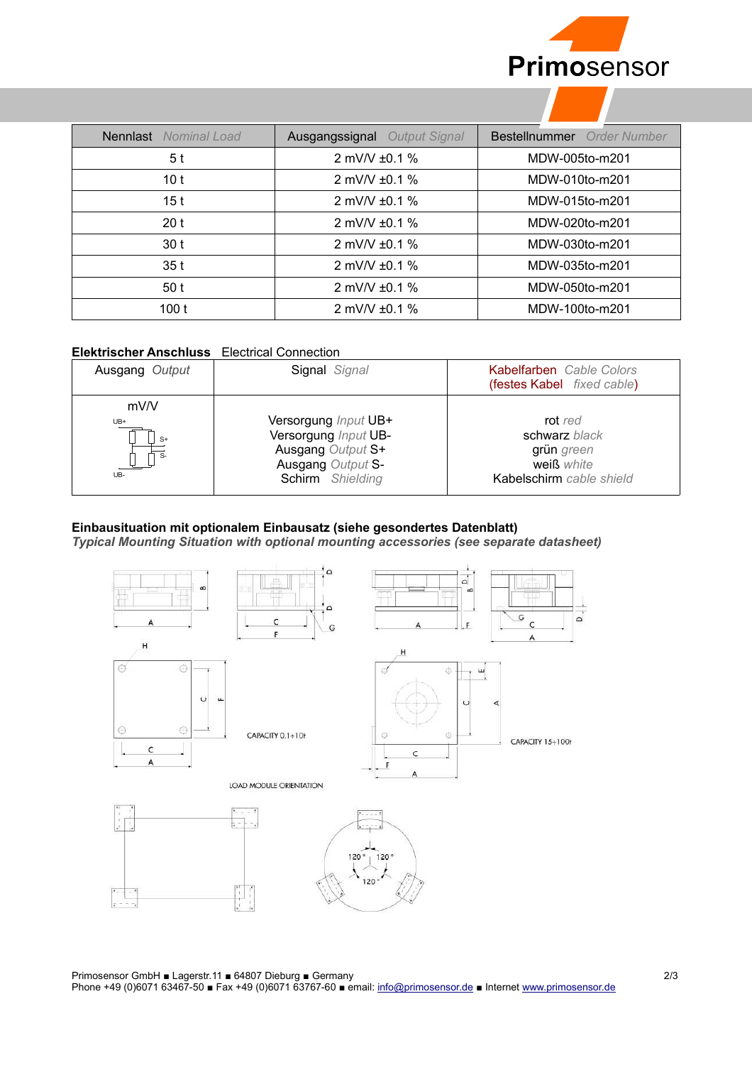

| <b>Nennlast</b> Nominal Load | <b>Ausgangssignal</b> Output Signal | Bestellnummer Order Number |
|------------------------------|-------------------------------------|----------------------------|
| 5 t                          | 2 mV/V $\pm$ 0.1 %                  | MDW-005to-m201             |
| 10 <sub>t</sub>              | 2 mV/V $\pm$ 0.1 %                  | MDW-010to-m201             |
| 15 t                         | 2 mV/V $\pm$ 0.1 %                  | MDW-015to-m201             |
| 20 <sub>t</sub>              | 2 mV/V $\pm$ 0.1 %                  | MDW-020to-m201             |
| 30 t                         | 2 mV/V $\pm$ 0.1 %                  | MDW-030to-m201             |
| 35 t                         | 2 mV/V $\pm$ 0.1 %                  | MDW-035to-m201             |
| 50t                          | 2 mV/V $\pm$ 0.1 %                  | MDW-050to-m201             |
| 100t                         | 2 mV/V $\pm$ 0.1 %                  | MDW-100to-m201             |

## **Elektrischer Anschluss** Electrical Connection

| Ausgang Output             | Signal Signal                                                                                              | Kabelfarben Cable Colors<br>(festes Kabel fixed cable)                           |
|----------------------------|------------------------------------------------------------------------------------------------------------|----------------------------------------------------------------------------------|
| mV/V<br>UB+<br>$S+$<br>UB- | Versorgung Input UB+<br>Versorgung Input UB-<br>Ausgang Output S+<br>Ausgang Output S-<br>Schirm Shielding | rot red<br>schwarz black<br>grün green<br>weiß white<br>Kabelschirm cable shield |

## **Einbausituation mit optionalem Einbausatz (siehe gesondertes Datenblatt)**

*Typical Mounting Situation with optional mounting accessories (see separate datasheet)*



Primosensor GmbH ■ Lagerstr.11 ■ 64807 Dieburg ■ Germany 2/3

Phone +49 (0)6071 63467-50 ■ Fax +49 (0)6071 63767-60 ■ email: [info@primosensor.de](mailto:info@primosensor.de) ■ Internet [www.primosensor.de](http://www.primosensor.de/)